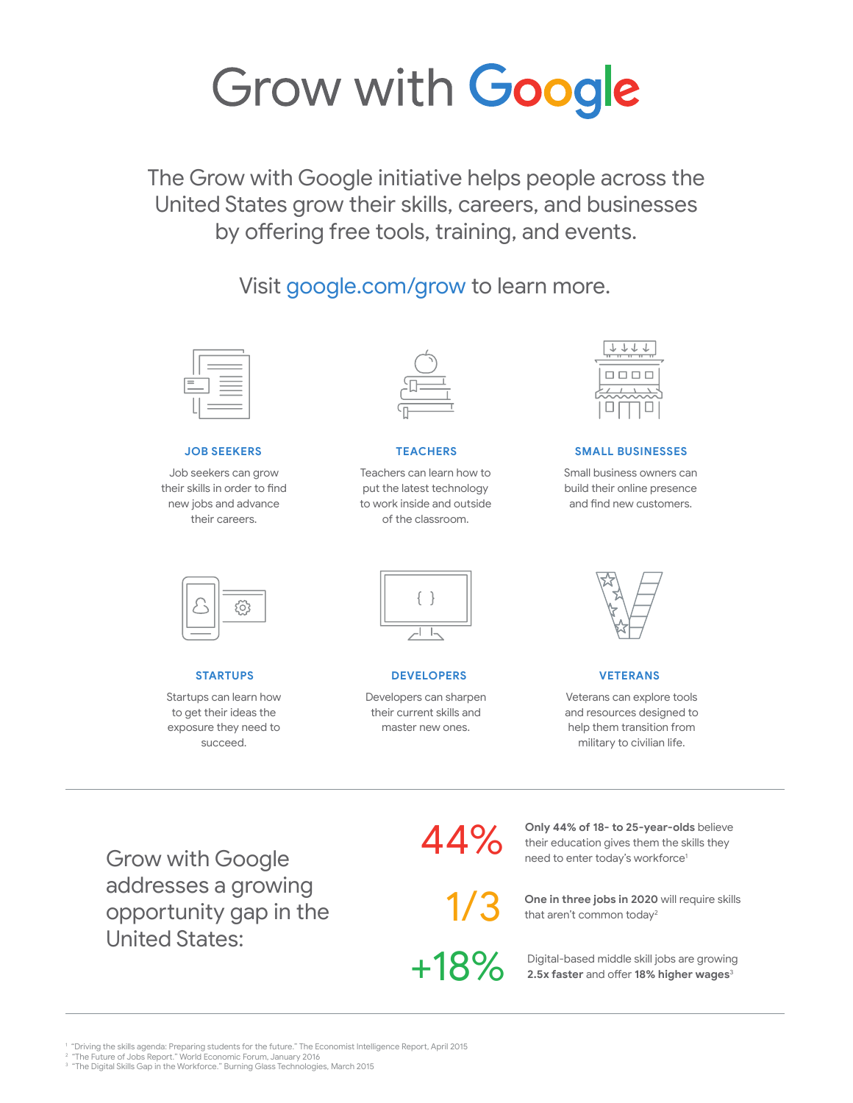# Grow with Google

The Grow with Google initiative helps people across the United States grow their skills, careers, and businesses by offering free tools, training, and events.

Visit google.com/grow to learn more.



Job seekers can grow their skills in order to find new jobs and advance their careers.



Teachers can learn how to put the latest technology to work inside and outside of the classroom.

| ı.<br>i. |
|----------|
|          |
|          |

## **JOB SEEKERS TEACHERS SMALL BUSINESSES**

Small business owners can build their online presence and find new customers.



Startups can learn how to get their ideas the exposure they need to succeed.



#### **STARTUPS DEVELOPERS**

Developers can sharpen their current skills and master new ones.



## **VETERANS**

Veterans can explore tools and resources designed to help them transition from military to civilian life.

Grow with Google addresses a growing opportunity gap in the United States:

44%

1/3

+18%

**Only 44% of 18- to 25-year-olds** believe their education gives them the skills they need to enter today's workforce<sup>1</sup>

**One in three jobs in 2020** will require skills that aren't common today<sup>2</sup>

Digital-based middle skill jobs are growing **2.5x faster** and offer **18% higher wages**<sup>3</sup>

1 "Driving the skills agenda: Preparing students for the future." The Economist Intelligence Report, April 2015 2 "The Future of Jobs Report." World Economic Forum, January 2016

 $^{\rm 3}$  "The Digital Skills Gap in the Workforce." Burning Glass Technologies, March 2015